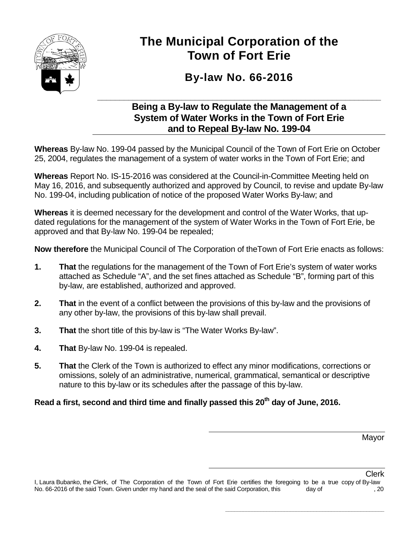

# **The Municipal Corporation of the Town of Fort Erie**

# **By-law No. 66-2016**

### **\_\_\_\_\_\_\_\_\_\_\_\_\_\_\_\_\_\_\_\_\_\_\_\_\_\_\_\_\_\_\_\_\_\_\_\_\_\_\_\_\_\_\_\_\_\_\_\_\_\_\_\_\_\_\_\_\_\_\_\_\_\_\_\_ Being a By-law to Regulate the Management of a System of Water Works in the Town of Fort Erie and to Repeal By-law No. 199-04**

**Whereas** By-law No. 199-04 passed by the Municipal Council of the Town of Fort Erie on October 25, 2004, regulates the management of a system of water works in the Town of Fort Erie; and

**Whereas** Report No. IS-15-2016 was considered at the Council-in-Committee Meeting held on May 16, 2016, and subsequently authorized and approved by Council, to revise and update By-law No. 199-04, including publication of notice of the proposed Water Works By-law; and

**Whereas** it is deemed necessary for the development and control of the Water Works, that updated regulations for the management of the system of Water Works in the Town of Fort Erie, be approved and that By-law No. 199-04 be repealed;

**Now therefore** the Municipal Council of The Corporation of theTown of Fort Erie enacts as follows:

- **1. That** the regulations for the management of the Town of Fort Erie's system of water works attached as Schedule "A", and the set fines attached as Schedule "B", forming part of this by-law, are established, authorized and approved.
- **2. That** in the event of a conflict between the provisions of this by-law and the provisions of any other by-law, the provisions of this by-law shall prevail.
- **3. That** the short title of this by-law is "The Water Works By-law".
- **4. That** By-law No. 199-04 is repealed.
- **5. That** the Clerk of the Town is authorized to effect any minor modifications, corrections or omissions, solely of an administrative, numerical, grammatical, semantical or descriptive nature to this by-law or its schedules after the passage of this by-law.

# **Read a first, second and third time and finally passed this 20th day of June, 2016.**

Mayor

**\_\_\_\_\_\_\_\_\_\_\_\_\_\_\_\_\_\_\_\_\_\_\_\_\_\_\_\_\_\_\_\_\_\_\_\_\_\_\_\_\_\_\_\_\_\_\_\_\_\_\_\_\_\_**

Clerk I, Laura Bubanko, the Clerk, of The Corporation of the Town of Fort Erie certifies the foregoing to be a true copy of By-law No. 66-2016 of the said Town. Given under my hand and the seal of the said Corporation, this day of , 20 , 20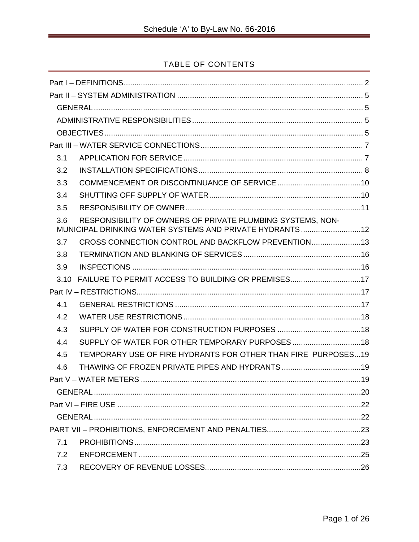# TABLE OF CONTENTS

| 3.1  |                                                                                                                       |  |  |  |  |  |
|------|-----------------------------------------------------------------------------------------------------------------------|--|--|--|--|--|
| 3.2  |                                                                                                                       |  |  |  |  |  |
| 3.3  |                                                                                                                       |  |  |  |  |  |
| 3.4  |                                                                                                                       |  |  |  |  |  |
| 3.5  |                                                                                                                       |  |  |  |  |  |
| 3.6  | RESPONSIBILITY OF OWNERS OF PRIVATE PLUMBING SYSTEMS, NON-<br>MUNICIPAL DRINKING WATER SYSTEMS AND PRIVATE HYDRANTS12 |  |  |  |  |  |
| 3.7  | CROSS CONNECTION CONTROL AND BACKFLOW PREVENTION13                                                                    |  |  |  |  |  |
| 3.8  |                                                                                                                       |  |  |  |  |  |
| 3.9  |                                                                                                                       |  |  |  |  |  |
| 3.10 | FAILURE TO PERMIT ACCESS TO BUILDING OR PREMISES17                                                                    |  |  |  |  |  |
|      |                                                                                                                       |  |  |  |  |  |
| 4.1  |                                                                                                                       |  |  |  |  |  |
| 4.2  |                                                                                                                       |  |  |  |  |  |
| 4.3  |                                                                                                                       |  |  |  |  |  |
| 4.4  |                                                                                                                       |  |  |  |  |  |
| 4.5  | TEMPORARY USE OF FIRE HYDRANTS FOR OTHER THAN FIRE PURPOSES19                                                         |  |  |  |  |  |
| 4.6  |                                                                                                                       |  |  |  |  |  |
|      |                                                                                                                       |  |  |  |  |  |
|      |                                                                                                                       |  |  |  |  |  |
|      |                                                                                                                       |  |  |  |  |  |
|      |                                                                                                                       |  |  |  |  |  |
|      |                                                                                                                       |  |  |  |  |  |
| 7.1  |                                                                                                                       |  |  |  |  |  |
| 7.2  |                                                                                                                       |  |  |  |  |  |
| 7.3  |                                                                                                                       |  |  |  |  |  |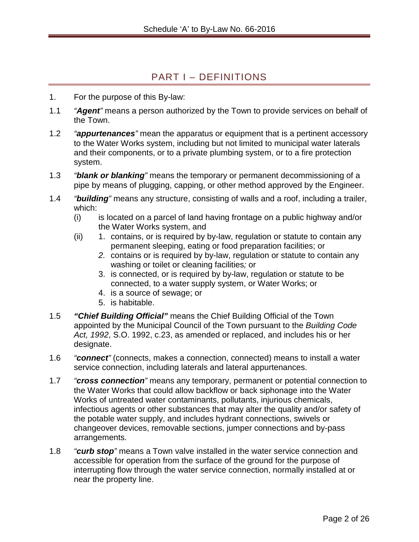# PART I – DEFINITIONS

- <span id="page-2-0"></span>1. For the purpose of this By-law:
- 1.1 *"Agent"* means a person authorized by the Town to provide services on behalf of the Town.
- 1.2 *"appurtenances"* mean the apparatus or equipment that is a pertinent accessory to the Water Works system, including but not limited to municipal water laterals and their components, or to a private plumbing system, or to a fire protection system.
- 1.3 *"blank or blanking"* means the temporary or permanent decommissioning of a pipe by means of plugging, capping, or other method approved by the Engineer.
- 1.4 *"building"* means any structure, consisting of walls and a roof, including a trailer, which:
	- (i) is located on a parcel of land having frontage on a public highway and/or the Water Works system, and
	- (ii) 1. contains, or is required by by-law, regulation or statute to contain any permanent sleeping, eating or food preparation facilities; or
		- *2.* contains or is required by by-law, regulation or statute to contain any washing or toilet or cleaning facilities*;* or
		- 3. is connected, or is required by by-law, regulation or statute to be connected, to a water supply system, or Water Works; or
		- 4. is a source of sewage; or
		- 5. is habitable.
- 1.5 *"Chief Building Official"* means the Chief Building Official of the Town appointed by the Municipal Council of the Town pursuant to the *Building Code Act, 1992*, S.O. 1992, c.23, as amended or replaced, and includes his or her designate.
- 1.6 *"connect"* (connects, makes a connection, connected) means to install a water service connection, including laterals and lateral appurtenances.
- 1.7 *"cross connection"* means any temporary, permanent or potential connection to the Water Works that could allow backflow or back siphonage into the Water Works of untreated water contaminants, pollutants, injurious chemicals, infectious agents or other substances that may alter the quality and/or safety of the potable water supply, and includes hydrant connections, swivels or changeover devices, removable sections, jumper connections and by-pass arrangements.
- 1.8 *"curb stop"* means a Town valve installed in the water service connection and accessible for operation from the surface of the ground for the purpose of interrupting flow through the water service connection, normally installed at or near the property line.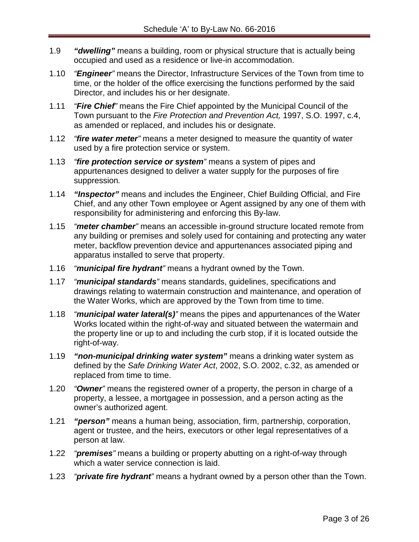- 1.9 *"dwelling"* means a building, room or physical structure that is actually being occupied and used as a residence or live-in accommodation.
- 1.10 *"Engineer"* means the Director, Infrastructure Services of the Town from time to time, or the holder of the office exercising the functions performed by the said Director, and includes his or her designate.
- 1.11 *"Fire Chief"* means the Fire Chief appointed by the Municipal Council of the Town pursuant to the *Fire Protection and Prevention Act,* 1997, S.O. 1997, c.4, as amended or replaced, and includes his or designate.
- 1.12 *"fire water meter"* means a meter designed to measure the quantity of water used by a fire protection service or system.
- 1.13 *"fire protection service or system"* means a system of pipes and appurtenances designed to deliver a water supply for the purposes of fire suppression*.*
- 1.14 *"Inspector"* means and includes the Engineer, Chief Building Official, and Fire Chief, and any other Town employee or Agent assigned by any one of them with responsibility for administering and enforcing this By-law.
- 1.15 *"meter chamber"* means an accessible in-ground structure located remote from any building or premises and solely used for containing and protecting any water meter, backflow prevention device and appurtenances associated piping and apparatus installed to serve that property.
- 1.16 *"municipal fire hydrant"* means a hydrant owned by the Town.
- 1.17 *"municipal standards"* means standards, guidelines, specifications and drawings relating to watermain construction and maintenance, and operation of the Water Works, which are approved by the Town from time to time.
- 1.18 *"municipal water lateral(s)"* means the pipes and appurtenances of the Water Works located within the right-of-way and situated between the watermain and the property line or up to and including the curb stop, if it is located outside the right-of-way.
- 1.19 *"non-municipal drinking water system"* means a drinking water system as defined by the *Safe Drinking Water Act*, 2002, S.O. 2002, c.32, as amended or replaced from time to time.
- 1.20 *"Owner"* means the registered owner of a property, the person in charge of a property, a lessee, a mortgagee in possession, and a person acting as the owner's authorized agent.
- 1.21 *"person"* means a human being, association, firm, partnership, corporation, agent or trustee, and the heirs, executors or other legal representatives of a person at law.
- 1.22 *"premises"* means a building or property abutting on a right-of-way through which a water service connection is laid.
- 1.23 *"private fire hydrant"* means a hydrant owned by a person other than the Town.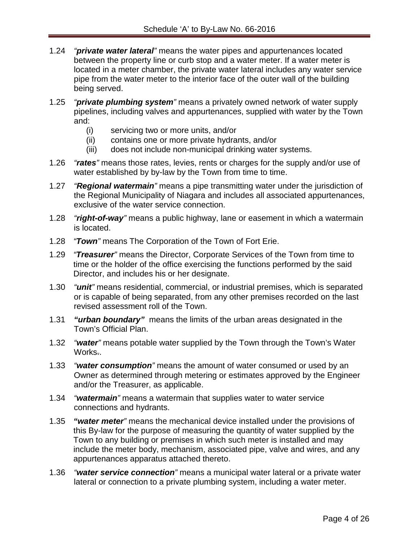- 1.24 *"private water lateral"* means the water pipes and appurtenances located between the property line or curb stop and a water meter. If a water meter is located in a meter chamber, the private water lateral includes any water service pipe from the water meter to the interior face of the outer wall of the building being served.
- 1.25 *"private plumbing system"* means a privately owned network of water supply pipelines, including valves and appurtenances, supplied with water by the Town and:
	- (i) servicing two or more units, and/or
	- (ii) contains one or more private hydrants, and/or
	- (iii) does not include non-municipal drinking water systems.
- 1.26 *"rates"* means those rates, levies, rents or charges for the supply and/or use of water established by by-law by the Town from time to time.
- 1.27 *"Regional watermain"* means a pipe transmitting water under the jurisdiction of the Regional Municipality of Niagara and includes all associated appurtenances, exclusive of the water service connection.
- 1.28 *"right-of-way"* means a public highway, lane or easement in which a watermain is located.
- 1.28 *"Town"* means The Corporation of the Town of Fort Erie.
- 1.29 *"Treasurer"* means the Director, Corporate Services of the Town from time to time or the holder of the office exercising the functions performed by the said Director, and includes his or her designate.
- 1.30 *"unit"* means residential, commercial, or industrial premises, which is separated or is capable of being separated, from any other premises recorded on the last revised assessment roll of the Town.
- 1.31 *"urban boundary"* means the limits of the urban areas designated in the Town's Official Plan.
- 1.32 *"water"* means potable water supplied by the Town through the Town's Water Works..
- 1.33 *"water consumption"* means the amount of water consumed or used by an Owner as determined through metering or estimates approved by the Engineer and/or the Treasurer, as applicable.
- 1.34 *"watermain"* means a watermain that supplies water to water service connections and hydrants.
- 1.35 *"water meter"* means the mechanical device installed under the provisions of this By-law for the purpose of measuring the quantity of water supplied by the Town to any building or premises in which such meter is installed and may include the meter body, mechanism, associated pipe, valve and wires, and any appurtenances apparatus attached thereto.
- 1.36 *"water service connection"* means a municipal water lateral or a private water lateral or connection to a private plumbing system, including a water meter.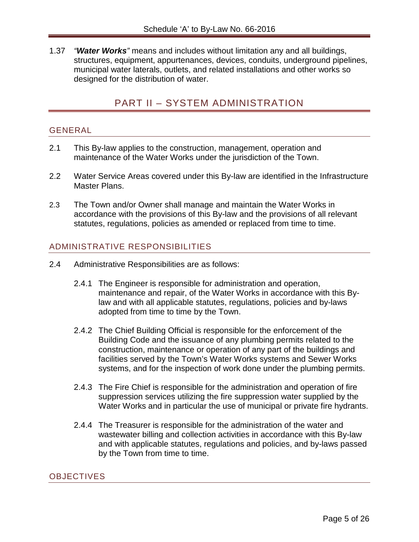<span id="page-5-0"></span>1.37 *"Water Works"* means and includes without limitation any and all buildings, structures, equipment, appurtenances, devices, conduits, underground pipelines, municipal water laterals, outlets, and related installations and other works so designed for the distribution of water.

# PART II – SYSTEM ADMINISTRATION

#### <span id="page-5-1"></span>GENERAL

- 2.1 This By-law applies to the construction, management, operation and maintenance of the Water Works under the jurisdiction of the Town.
- 2.2 Water Service Areas covered under this By-law are identified in the Infrastructure Master Plans.
- 2.3 The Town and/or Owner shall manage and maintain the Water Works in accordance with the provisions of this By-law and the provisions of all relevant statutes, regulations, policies as amended or replaced from time to time.

#### <span id="page-5-2"></span>ADMINISTRATIVE RESPONSIBILITIES

- 2.4 Administrative Responsibilities are as follows:
	- 2.4.1 The Engineer is responsible for administration and operation, maintenance and repair, of the Water Works in accordance with this Bylaw and with all applicable statutes, regulations, policies and by-laws adopted from time to time by the Town.
	- 2.4.2 The Chief Building Official is responsible for the enforcement of the Building Code and the issuance of any plumbing permits related to the construction, maintenance or operation of any part of the buildings and facilities served by the Town's Water Works systems and Sewer Works systems, and for the inspection of work done under the plumbing permits.
	- 2.4.3 The Fire Chief is responsible for the administration and operation of fire suppression services utilizing the fire suppression water supplied by the Water Works and in particular the use of municipal or private fire hydrants.
	- 2.4.4 The Treasurer is responsible for the administration of the water and wastewater billing and collection activities in accordance with this By-law and with applicable statutes, regulations and policies, and by-laws passed by the Town from time to time.

#### <span id="page-5-3"></span>**OBJECTIVES**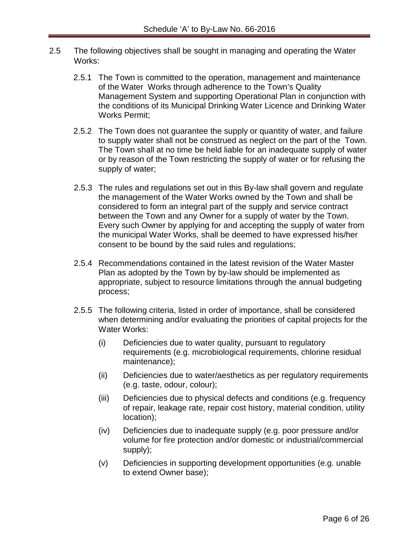- 2.5 The following objectives shall be sought in managing and operating the Water Works:
	- 2.5.1 The Town is committed to the operation, management and maintenance of the Water Works through adherence to the Town's Quality Management System and supporting Operational Plan in conjunction with the conditions of its Municipal Drinking Water Licence and Drinking Water Works Permit;
	- 2.5.2 The Town does not guarantee the supply or quantity of water, and failure to supply water shall not be construed as neglect on the part of the Town. The Town shall at no time be held liable for an inadequate supply of water or by reason of the Town restricting the supply of water or for refusing the supply of water;
	- 2.5.3 The rules and regulations set out in this By-law shall govern and regulate the management of the Water Works owned by the Town and shall be considered to form an integral part of the supply and service contract between the Town and any Owner for a supply of water by the Town. Every such Owner by applying for and accepting the supply of water from the municipal Water Works, shall be deemed to have expressed his/her consent to be bound by the said rules and regulations;
	- 2.5.4 Recommendations contained in the latest revision of the Water Master Plan as adopted by the Town by by-law should be implemented as appropriate, subject to resource limitations through the annual budgeting process;
	- 2.5.5 The following criteria, listed in order of importance, shall be considered when determining and/or evaluating the priorities of capital projects for the Water Works:
		- (i) Deficiencies due to water quality, pursuant to regulatory requirements (e.g. microbiological requirements, chlorine residual maintenance);
		- (ii) Deficiencies due to water/aesthetics as per regulatory requirements (e.g. taste, odour, colour);
		- (iii) Deficiencies due to physical defects and conditions (e.g. frequency of repair, leakage rate, repair cost history, material condition, utility location);
		- (iv) Deficiencies due to inadequate supply (e.g. poor pressure and/or volume for fire protection and/or domestic or industrial/commercial supply);
		- (v) Deficiencies in supporting development opportunities (e.g. unable to extend Owner base);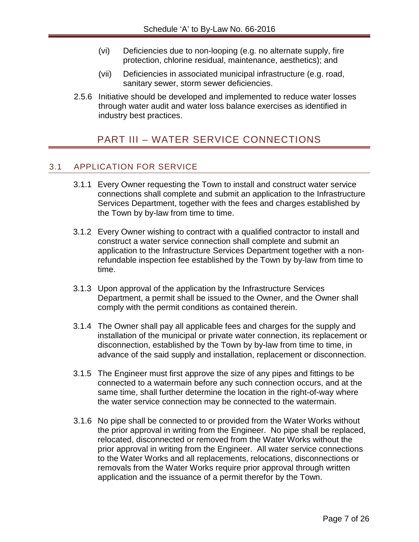- (vi) Deficiencies due to non-looping (e.g. no alternate supply, fire protection, chlorine residual, maintenance, aesthetics); and
- (vii) Deficiencies in associated municipal infrastructure (e.g. road, sanitary sewer, storm sewer deficiencies.
- <span id="page-7-0"></span>2.5.6 Initiative should be developed and implemented to reduce water losses through water audit and water loss balance exercises as identified in industry best practices.

# PART III – WATER SERVICE CONNECTIONS

### <span id="page-7-1"></span>3.1 APPLICATION FOR SERVICE

- 3.1.1 Every Owner requesting the Town to install and construct water service connections shall complete and submit an application to the Infrastructure Services Department, together with the fees and charges established by the Town by by-law from time to time.
- 3.1.2 Every Owner wishing to contract with a qualified contractor to install and construct a water service connection shall complete and submit an application to the Infrastructure Services Department together with a nonrefundable inspection fee established by the Town by by-law from time to time.
- 3.1.3 Upon approval of the application by the Infrastructure Services Department, a permit shall be issued to the Owner, and the Owner shall comply with the permit conditions as contained therein.
- 3.1.4 The Owner shall pay all applicable fees and charges for the supply and installation of the municipal or private water connection, its replacement or disconnection, established by the Town by by-law from time to time, in advance of the said supply and installation, replacement or disconnection.
- 3.1.5 The Engineer must first approve the size of any pipes and fittings to be connected to a watermain before any such connection occurs, and at the same time, shall further determine the location in the right-of-way where the water service connection may be connected to the watermain.
- 3.1.6 No pipe shall be connected to or provided from the Water Works without the prior approval in writing from the Engineer. No pipe shall be replaced, relocated, disconnected or removed from the Water Works without the prior approval in writing from the Engineer. All water service connections to the Water Works and all replacements, relocations, disconnections or removals from the Water Works require prior approval through written application and the issuance of a permit therefor by the Town.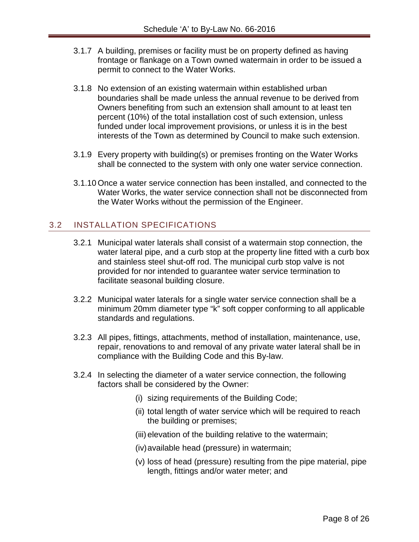- 3.1.7 A building, premises or facility must be on property defined as having frontage or flankage on a Town owned watermain in order to be issued a permit to connect to the Water Works.
- 3.1.8 No extension of an existing watermain within established urban boundaries shall be made unless the annual revenue to be derived from Owners benefiting from such an extension shall amount to at least ten percent (10%) of the total installation cost of such extension, unless funded under local improvement provisions, or unless it is in the best interests of the Town as determined by Council to make such extension.
- 3.1.9 Every property with building(s) or premises fronting on the Water Works shall be connected to the system with only one water service connection.
- 3.1.10 Once a water service connection has been installed, and connected to the Water Works, the water service connection shall not be disconnected from the Water Works without the permission of the Engineer.

# <span id="page-8-0"></span>3.2 INSTALLATION SPECIFICATIONS

- 3.2.1 Municipal water laterals shall consist of a watermain stop connection, the water lateral pipe, and a curb stop at the property line fitted with a curb box and stainless steel shut-off rod. The municipal curb stop valve is not provided for nor intended to guarantee water service termination to facilitate seasonal building closure.
- 3.2.2 Municipal water laterals for a single water service connection shall be a minimum 20mm diameter type "k" soft copper conforming to all applicable standards and regulations.
- 3.2.3 All pipes, fittings, attachments, method of installation, maintenance, use, repair, renovations to and removal of any private water lateral shall be in compliance with the Building Code and this By-law.
- 3.2.4 In selecting the diameter of a water service connection, the following factors shall be considered by the Owner:
	- (i) sizing requirements of the Building Code;
	- (ii) total length of water service which will be required to reach the building or premises;
	- (iii) elevation of the building relative to the watermain;
	- (iv)available head (pressure) in watermain;
	- (v) loss of head (pressure) resulting from the pipe material, pipe length, fittings and/or water meter; and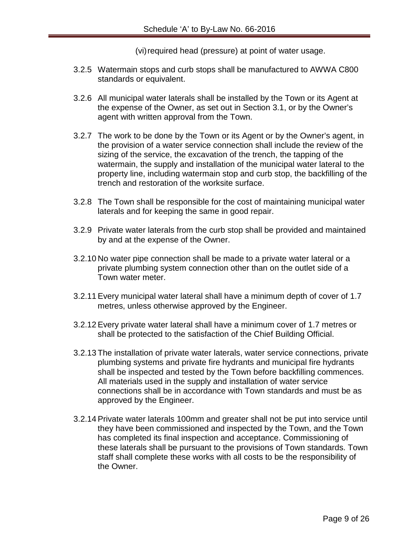(vi) required head (pressure) at point of water usage.

- 3.2.5 Watermain stops and curb stops shall be manufactured to AWWA C800 standards or equivalent.
- 3.2.6 All municipal water laterals shall be installed by the Town or its Agent at the expense of the Owner, as set out in Section 3.1, or by the Owner's agent with written approval from the Town.
- 3.2.7 The work to be done by the Town or its Agent or by the Owner's agent, in the provision of a water service connection shall include the review of the sizing of the service, the excavation of the trench, the tapping of the watermain, the supply and installation of the municipal water lateral to the property line, including watermain stop and curb stop, the backfilling of the trench and restoration of the worksite surface.
- 3.2.8 The Town shall be responsible for the cost of maintaining municipal water laterals and for keeping the same in good repair.
- 3.2.9 Private water laterals from the curb stop shall be provided and maintained by and at the expense of the Owner.
- 3.2.10 No water pipe connection shall be made to a private water lateral or a private plumbing system connection other than on the outlet side of a Town water meter.
- 3.2.11 Every municipal water lateral shall have a minimum depth of cover of 1.7 metres, unless otherwise approved by the Engineer.
- 3.2.12 Every private water lateral shall have a minimum cover of 1.7 metres or shall be protected to the satisfaction of the Chief Building Official.
- 3.2.13 The installation of private water laterals, water service connections, private plumbing systems and private fire hydrants and municipal fire hydrants shall be inspected and tested by the Town before backfilling commences. All materials used in the supply and installation of water service connections shall be in accordance with Town standards and must be as approved by the Engineer.
- 3.2.14 Private water laterals 100mm and greater shall not be put into service until they have been commissioned and inspected by the Town, and the Town has completed its final inspection and acceptance. Commissioning of these laterals shall be pursuant to the provisions of Town standards. Town staff shall complete these works with all costs to be the responsibility of the Owner.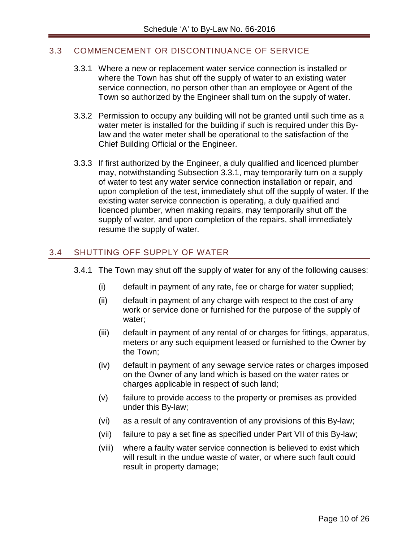# <span id="page-10-0"></span>3.3 COMMENCEMENT OR DISCONTINUANCE OF SERVICE

- 3.3.1 Where a new or replacement water service connection is installed or where the Town has shut off the supply of water to an existing water service connection, no person other than an employee or Agent of the Town so authorized by the Engineer shall turn on the supply of water.
- 3.3.2 Permission to occupy any building will not be granted until such time as a water meter is installed for the building if such is required under this Bylaw and the water meter shall be operational to the satisfaction of the Chief Building Official or the Engineer.
- 3.3.3 If first authorized by the Engineer, a duly qualified and licenced plumber may, notwithstanding Subsection 3.3.1, may temporarily turn on a supply of water to test any water service connection installation or repair, and upon completion of the test, immediately shut off the supply of water. If the existing water service connection is operating, a duly qualified and licenced plumber, when making repairs, may temporarily shut off the supply of water, and upon completion of the repairs, shall immediately resume the supply of water.

# <span id="page-10-1"></span>3.4 SHUTTING OFF SUPPLY OF WATER

- 3.4.1 The Town may shut off the supply of water for any of the following causes:
	- (i) default in payment of any rate, fee or charge for water supplied;
	- (ii) default in payment of any charge with respect to the cost of any work or service done or furnished for the purpose of the supply of water;
	- (iii) default in payment of any rental of or charges for fittings, apparatus, meters or any such equipment leased or furnished to the Owner by the Town;
	- (iv) default in payment of any sewage service rates or charges imposed on the Owner of any land which is based on the water rates or charges applicable in respect of such land;
	- (v) failure to provide access to the property or premises as provided under this By-law;
	- (vi) as a result of any contravention of any provisions of this By-law;
	- (vii) failure to pay a set fine as specified under Part VII of this By-law;
	- (viii) where a faulty water service connection is believed to exist which will result in the undue waste of water, or where such fault could result in property damage;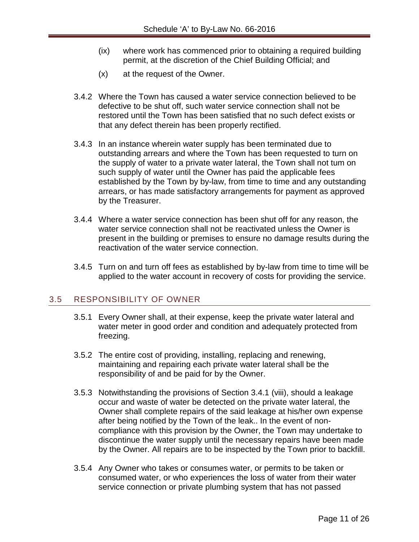- (ix) where work has commenced prior to obtaining a required building permit, at the discretion of the Chief Building Official; and
- (x) at the request of the Owner.
- 3.4.2 Where the Town has caused a water service connection believed to be defective to be shut off, such water service connection shall not be restored until the Town has been satisfied that no such defect exists or that any defect therein has been properly rectified.
- 3.4.3 In an instance wherein water supply has been terminated due to outstanding arrears and where the Town has been requested to turn on the supply of water to a private water lateral, the Town shall not tum on such supply of water until the Owner has paid the applicable fees established by the Town by by-law, from time to time and any outstanding arrears, or has made satisfactory arrangements for payment as approved by the Treasurer.
- 3.4.4 Where a water service connection has been shut off for any reason, the water service connection shall not be reactivated unless the Owner is present in the building or premises to ensure no damage results during the reactivation of the water service connection.
- 3.4.5 Turn on and turn off fees as established by by-law from time to time will be applied to the water account in recovery of costs for providing the service.

#### <span id="page-11-0"></span>3.5 RESPONSIBILITY OF OWNER

- 3.5.1 Every Owner shall, at their expense, keep the private water lateral and water meter in good order and condition and adequately protected from freezing.
- 3.5.2 The entire cost of providing, installing, replacing and renewing, maintaining and repairing each private water lateral shall be the responsibility of and be paid for by the Owner.
- 3.5.3 Notwithstanding the provisions of Section 3.4.1 (viii), should a leakage occur and waste of water be detected on the private water lateral, the Owner shall complete repairs of the said leakage at his/her own expense after being notified by the Town of the leak.. In the event of noncompliance with this provision by the Owner, the Town may undertake to discontinue the water supply until the necessary repairs have been made by the Owner. All repairs are to be inspected by the Town prior to backfill.
- 3.5.4 Any Owner who takes or consumes water, or permits to be taken or consumed water, or who experiences the loss of water from their water service connection or private plumbing system that has not passed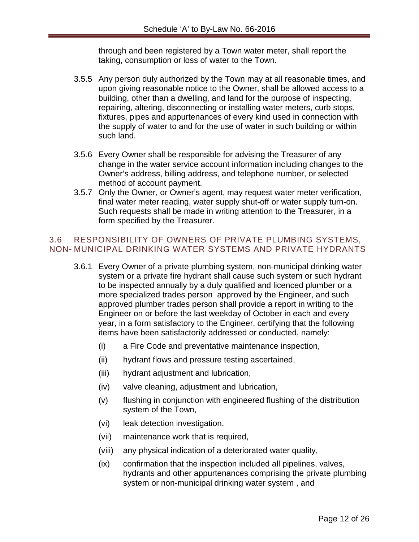through and been registered by a Town water meter, shall report the taking, consumption or loss of water to the Town.

- 3.5.5 Any person duly authorized by the Town may at all reasonable times, and upon giving reasonable notice to the Owner, shall be allowed access to a building, other than a dwelling, and land for the purpose of inspecting, repairing, altering, disconnecting or installing water meters, curb stops, fixtures, pipes and appurtenances of every kind used in connection with the supply of water to and for the use of water in such building or within such land.
- 3.5.6 Every Owner shall be responsible for advising the Treasurer of any change in the water service account information including changes to the Owner's address, billing address, and telephone number, or selected method of account payment.
- 3.5.7 Only the Owner, or Owner's agent, may request water meter verification, final water meter reading, water supply shut-off or water supply turn-on. Such requests shall be made in writing attention to the Treasurer, in a form specified by the Treasurer.

### <span id="page-12-0"></span>3.6 RESPONSIBILITY OF OWNERS OF PRIVATE PLUMBING SYSTEMS, NON- MUNICIPAL DRINKING WATER SYSTEMS AND PRIVATE HYDRANTS

- 3.6.1 Every Owner of a private plumbing system, non-municipal drinking water system or a private fire hydrant shall cause such system or such hydrant to be inspected annually by a duly qualified and licenced plumber or a more specialized trades person approved by the Engineer, and such approved plumber trades person shall provide a report in writing to the Engineer on or before the last weekday of October in each and every year, in a form satisfactory to the Engineer, certifying that the following items have been satisfactorily addressed or conducted, namely:
	- (i) a Fire Code and preventative maintenance inspection,
	- (ii) hydrant flows and pressure testing ascertained,
	- (iii) hydrant adjustment and lubrication,
	- (iv) valve cleaning, adjustment and lubrication,
	- (v) flushing in conjunction with engineered flushing of the distribution system of the Town,
	- (vi) leak detection investigation,
	- (vii) maintenance work that is required,
	- (viii) any physical indication of a deteriorated water quality,
	- (ix) confirmation that the inspection included all pipelines, valves, hydrants and other appurtenances comprising the private plumbing system or non-municipal drinking water system , and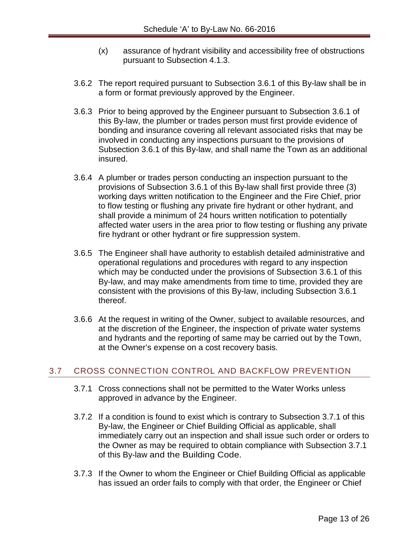- (x) assurance of hydrant visibility and accessibility free of obstructions pursuant to Subsection 4.1.3.
- 3.6.2 The report required pursuant to Subsection 3.6.1 of this By-law shall be in a form or format previously approved by the Engineer.
- 3.6.3 Prior to being approved by the Engineer pursuant to Subsection 3.6.1 of this By-law, the plumber or trades person must first provide evidence of bonding and insurance covering all relevant associated risks that may be involved in conducting any inspections pursuant to the provisions of Subsection 3.6.1 of this By-law, and shall name the Town as an additional insured.
- 3.6.4 A plumber or trades person conducting an inspection pursuant to the provisions of Subsection 3.6.1 of this By-law shall first provide three (3) working days written notification to the Engineer and the Fire Chief, prior to flow testing or flushing any private fire hydrant or other hydrant, and shall provide a minimum of 24 hours written notification to potentially affected water users in the area prior to flow testing or flushing any private fire hydrant or other hydrant or fire suppression system.
- 3.6.5 The Engineer shall have authority to establish detailed administrative and operational regulations and procedures with regard to any inspection which may be conducted under the provisions of Subsection 3.6.1 of this By-law, and may make amendments from time to time, provided they are consistent with the provisions of this By-law, including Subsection 3.6.1 thereof.
- 3.6.6 At the request in writing of the Owner, subject to available resources, and at the discretion of the Engineer, the inspection of private water systems and hydrants and the reporting of same may be carried out by the Town, at the Owner's expense on a cost recovery basis.

#### <span id="page-13-0"></span>3.7 CROSS CONNECTION CONTROL AND BACKFLOW PREVENTION

- 3.7.1 Cross connections shall not be permitted to the Water Works unless approved in advance by the Engineer.
- 3.7.2 If a condition is found to exist which is contrary to Subsection 3.7.1 of this By-law, the Engineer or Chief Building Official as applicable, shall immediately carry out an inspection and shall issue such order or orders to the Owner as may be required to obtain compliance with Subsection 3.7.1 of this By-law and the Building Code.
- 3.7.3 If the Owner to whom the Engineer or Chief Building Official as applicable has issued an order fails to comply with that order, the Engineer or Chief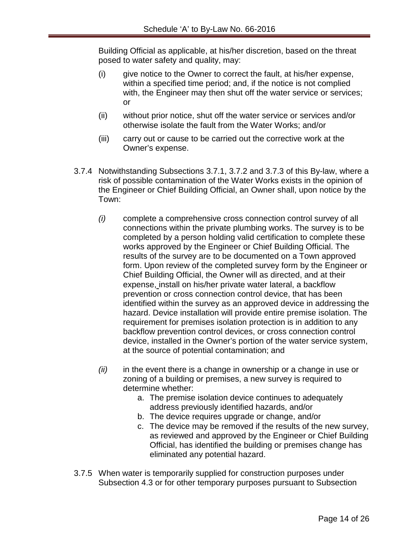Building Official as applicable, at his/her discretion, based on the threat posed to water safety and quality, may:

- (i) give notice to the Owner to correct the fault, at his/her expense, within a specified time period; and, if the notice is not complied with, the Engineer may then shut off the water service or services; or
- (ii) without prior notice, shut off the water service or services and/or otherwise isolate the fault from the Water Works; and/or
- (iii) carry out or cause to be carried out the corrective work at the Owner's expense.
- 3.7.4 Notwithstanding Subsections 3.7.1, 3.7.2 and 3.7.3 of this By-law, where a risk of possible contamination of the Water Works exists in the opinion of the Engineer or Chief Building Official, an Owner shall, upon notice by the Town:
	- *(i)* complete a comprehensive cross connection control survey of all connections within the private plumbing works. The survey is to be completed by a person holding valid certification to complete these works approved by the Engineer or Chief Building Official. The results of the survey are to be documented on a Town approved form. Upon review of the completed survey form by the Engineer or Chief Building Official, the Owner will as directed, and at their expense, install on his/her private water lateral, a backflow prevention or cross connection control device, that has been identified within the survey as an approved device in addressing the hazard. Device installation will provide entire premise isolation. The requirement for premises isolation protection is in addition to any backflow prevention control devices, or cross connection control device, installed in the Owner's portion of the water service system, at the source of potential contamination; and
	- *(ii)* in the event there is a change in ownership or a change in use or zoning of a building or premises, a new survey is required to determine whether:
		- a. The premise isolation device continues to adequately address previously identified hazards, and/or
		- b. The device requires upgrade or change, and/or
		- c. The device may be removed if the results of the new survey, as reviewed and approved by the Engineer or Chief Building Official, has identified the building or premises change has eliminated any potential hazard.
- 3.7.5 When water is temporarily supplied for construction purposes under Subsection 4.3 or for other temporary purposes pursuant to Subsection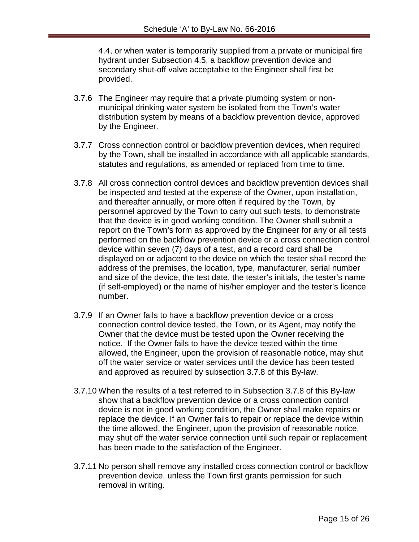4.4, or when water is temporarily supplied from a private or municipal fire hydrant under Subsection 4.5, a backflow prevention device and secondary shut-off valve acceptable to the Engineer shall first be provided.

- 3.7.6 The Engineer may require that a private plumbing system or nonmunicipal drinking water system be isolated from the Town's water distribution system by means of a backflow prevention device, approved by the Engineer.
- 3.7.7 Cross connection control or backflow prevention devices, when required by the Town, shall be installed in accordance with all applicable standards, statutes and regulations, as amended or replaced from time to time.
- 3.7.8 All cross connection control devices and backflow prevention devices shall be inspected and tested at the expense of the Owner, upon installation, and thereafter annually, or more often if required by the Town, by personnel approved by the Town to carry out such tests, to demonstrate that the device is in good working condition. The Owner shall submit a report on the Town's form as approved by the Engineer for any or all tests performed on the backflow prevention device or a cross connection control device within seven (7) days of a test, and a record card shall be displayed on or adjacent to the device on which the tester shall record the address of the premises, the location, type, manufacturer, serial number and size of the device, the test date, the tester's initials, the tester's name (if self-employed) or the name of his/her employer and the tester's licence number.
- 3.7.9 If an Owner fails to have a backflow prevention device or a cross connection control device tested, the Town, or its Agent, may notify the Owner that the device must be tested upon the Owner receiving the notice. If the Owner fails to have the device tested within the time allowed, the Engineer, upon the provision of reasonable notice, may shut off the water service or water services until the device has been tested and approved as required by subsection 3.7.8 of this By-law.
- 3.7.10 When the results of a test referred to in Subsection 3.7.8 of this By-law show that a backflow prevention device or a cross connection control device is not in good working condition, the Owner shall make repairs or replace the device. If an Owner fails to repair or replace the device within the time allowed, the Engineer, upon the provision of reasonable notice, may shut off the water service connection until such repair or replacement has been made to the satisfaction of the Engineer.
- 3.7.11 No person shall remove any installed cross connection control or backflow prevention device, unless the Town first grants permission for such removal in writing.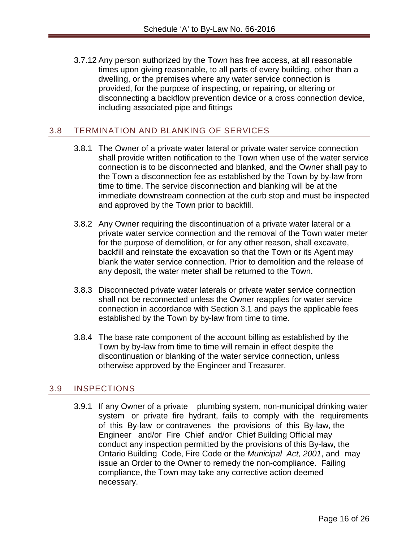3.7.12 Any person authorized by the Town has free access, at all reasonable times upon giving reasonable, to all parts of every building, other than a dwelling, or the premises where any water service connection is provided, for the purpose of inspecting, or repairing, or altering or disconnecting a backflow prevention device or a cross connection device, including associated pipe and fittings

#### <span id="page-16-0"></span>3.8 TERMINATION AND BLANKING OF SERVICES

- 3.8.1 The Owner of a private water lateral or private water service connection shall provide written notification to the Town when use of the water service connection is to be disconnected and blanked, and the Owner shall pay to the Town a disconnection fee as established by the Town by by-law from time to time. The service disconnection and blanking will be at the immediate downstream connection at the curb stop and must be inspected and approved by the Town prior to backfill.
- 3.8.2 Any Owner requiring the discontinuation of a private water lateral or a private water service connection and the removal of the Town water meter for the purpose of demolition, or for any other reason, shall excavate, backfill and reinstate the excavation so that the Town or its Agent may blank the water service connection. Prior to demolition and the release of any deposit, the water meter shall be returned to the Town.
- 3.8.3 Disconnected private water laterals or private water service connection shall not be reconnected unless the Owner reapplies for water service connection in accordance with Section 3.1 and pays the applicable fees established by the Town by by-law from time to time.
- 3.8.4 The base rate component of the account billing as established by the Town by by-law from time to time will remain in effect despite the discontinuation or blanking of the water service connection, unless otherwise approved by the Engineer and Treasurer.

#### <span id="page-16-1"></span>3.9 INSPECTIONS

3.9.1 If any Owner of a private plumbing system, non-municipal drinking water system or private fire hydrant, fails to comply with the requirements of this By-law or contravenes the provisions of this By-law, the Engineer and/or Fire Chief and/or Chief Building Official may conduct any inspection permitted by the provisions of this By-law, the Ontario Building Code, Fire Code or the *Municipal Act, 2001*, and may issue an Order to the Owner to remedy the non-compliance. Failing compliance, the Town may take any corrective action deemed necessary.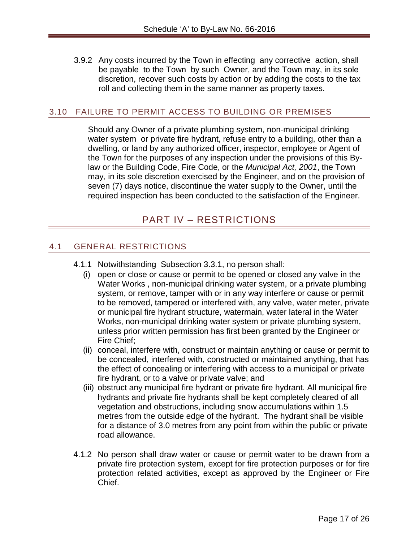3.9.2 Any costs incurred by the Town in effecting any corrective action, shall be payable to the Town by such Owner, and the Town may, in its sole discretion, recover such costs by action or by adding the costs to the tax roll and collecting them in the same manner as property taxes.

#### <span id="page-17-0"></span>3.10 FAILURE TO PERMIT ACCESS TO BUILDING OR PREMISES

Should any Owner of a private plumbing system, non-municipal drinking water system or private fire hydrant, refuse entry to a building, other than a dwelling, or land by any authorized officer, inspector, employee or Agent of the Town for the purposes of any inspection under the provisions of this Bylaw or the Building Code, Fire Code, or the *Municipal Act, 2001*, the Town may, in its sole discretion exercised by the Engineer, and on the provision of seven (7) days notice, discontinue the water supply to the Owner, until the required inspection has been conducted to the satisfaction of the Engineer.

# PART IV – RESTRICTIONS

#### <span id="page-17-2"></span><span id="page-17-1"></span>4.1 GENERAL RESTRICTIONS

- 4.1.1 Notwithstanding Subsection 3.3.1, no person shall:
	- (i) open or close or cause or permit to be opened or closed any valve in the Water Works , non-municipal drinking water system, or a private plumbing system, or remove, tamper with or in any way interfere or cause or permit to be removed, tampered or interfered with, any valve, water meter, private or municipal fire hydrant structure, watermain, water lateral in the Water Works, non-municipal drinking water system or private plumbing system, unless prior written permission has first been granted by the Engineer or Fire Chief;
	- (ii) conceal, interfere with, construct or maintain anything or cause or permit to be concealed, interfered with, constructed or maintained anything, that has the effect of concealing or interfering with access to a municipal or private fire hydrant, or to a valve or private valve; and
	- (iii) obstruct any municipal fire hydrant or private fire hydrant. All municipal fire hydrants and private fire hydrants shall be kept completely cleared of all vegetation and obstructions, including snow accumulations within 1.5 metres from the outside edge of the hydrant. The hydrant shall be visible for a distance of 3.0 metres from any point from within the public or private road allowance.
- 4.1.2 No person shall draw water or cause or permit water to be drawn from a private fire protection system, except for fire protection purposes or for fire protection related activities, except as approved by the Engineer or Fire Chief.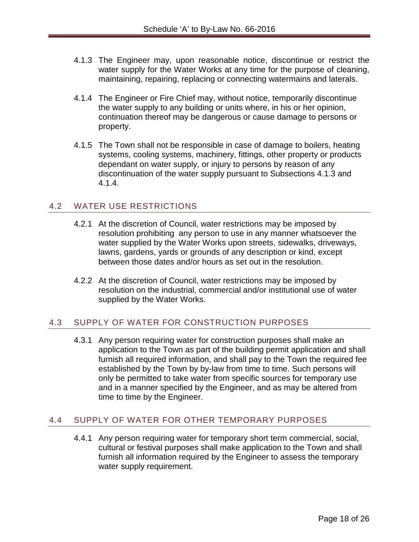- 4.1.3 The Engineer may, upon reasonable notice, discontinue or restrict the water supply for the Water Works at any time for the purpose of cleaning, maintaining, repairing, replacing or connecting watermains and laterals.
- 4.1.4 The Engineer or Fire Chief may, without notice, temporarily discontinue the water supply to any building or units where, in his or her opinion, continuation thereof may be dangerous or cause damage to persons or property.
- 4.1.5 The Town shall not be responsible in case of damage to boilers, heating systems, cooling systems, machinery, fittings, other property or products dependant on water supply, or injury to persons by reason of any discontinuation of the water supply pursuant to Subsections 4.1.3 and 4.1.4.

# <span id="page-18-0"></span>4.2 WATER USE RESTRICTIONS

- 4.2.1 At the discretion of Council, water restrictions may be imposed by resolution prohibiting any person to use in any manner whatsoever the water supplied by the Water Works upon streets, sidewalks, driveways, lawns, gardens, yards or grounds of any description or kind, except between those dates and/or hours as set out in the resolution.
- 4.2.2 At the discretion of Council, water restrictions may be imposed by resolution on the industrial, commercial and/or institutional use of water supplied by the Water Works.

# <span id="page-18-1"></span>4.3 SUPPLY OF WATER FOR CONSTRUCTION PURPOSES

4.3.1 Any person requiring water for construction purposes shall make an application to the Town as part of the building permit application and shall furnish all required information, and shall pay to the Town the required fee established by the Town by by-law from time to time. Such persons will only be permitted to take water from specific sources for temporary use and in a manner specified by the Engineer, and as may be altered from time to time by the Engineer.

# <span id="page-18-2"></span>4.4 SUPPLY OF WATER FOR OTHER TEMPORARY PURPOSES

4.4.1 Any person requiring water for temporary short term commercial, social, cultural or festival purposes shall make application to the Town and shall furnish all information required by the Engineer to assess the temporary water supply requirement.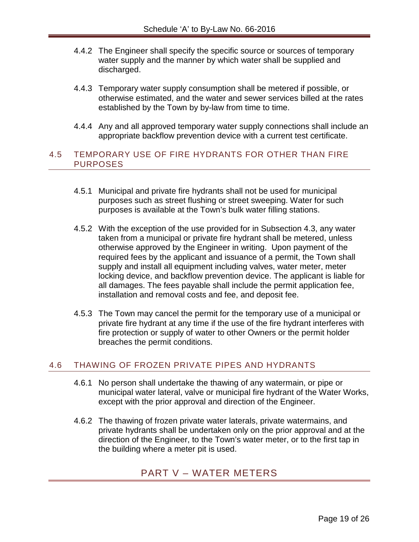- 4.4.2 The Engineer shall specify the specific source or sources of temporary water supply and the manner by which water shall be supplied and discharged.
- 4.4.3 Temporary water supply consumption shall be metered if possible, or otherwise estimated, and the water and sewer services billed at the rates established by the Town by by-law from time to time.
- 4.4.4 Any and all approved temporary water supply connections shall include an appropriate backflow prevention device with a current test certificate.

#### <span id="page-19-0"></span>4.5 TEMPORARY USE OF FIRE HYDRANTS FOR OTHER THAN FIRE PURPOSES

- 4.5.1 Municipal and private fire hydrants shall not be used for municipal purposes such as street flushing or street sweeping. Water for such purposes is available at the Town's bulk water filling stations.
- 4.5.2 With the exception of the use provided for in Subsection 4.3, any water taken from a municipal or private fire hydrant shall be metered, unless otherwise approved by the Engineer in writing. Upon payment of the required fees by the applicant and issuance of a permit, the Town shall supply and install all equipment including valves, water meter, meter locking device, and backflow prevention device. The applicant is liable for all damages. The fees payable shall include the permit application fee, installation and removal costs and fee, and deposit fee.
- 4.5.3 The Town may cancel the permit for the temporary use of a municipal or private fire hydrant at any time if the use of the fire hydrant interferes with fire protection or supply of water to other Owners or the permit holder breaches the permit conditions.

### <span id="page-19-1"></span>4.6 THAWING OF FROZEN PRIVATE PIPES AND HYDRANTS

- 4.6.1 No person shall undertake the thawing of any watermain, or pipe or municipal water lateral, valve or municipal fire hydrant of the Water Works, except with the prior approval and direction of the Engineer.
- <span id="page-19-2"></span>4.6.2 The thawing of frozen private water laterals, private watermains, and private hydrants shall be undertaken only on the prior approval and at the direction of the Engineer, to the Town's water meter, or to the first tap in the building where a meter pit is used.

# PART V – WATER METERS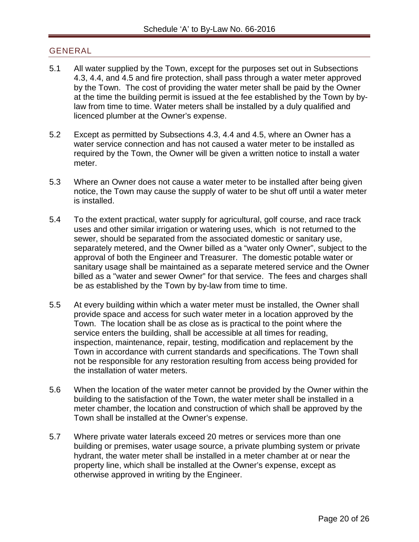#### <span id="page-20-0"></span>GENERAL

- 5.1 All water supplied by the Town, except for the purposes set out in Subsections 4.3, 4.4, and 4.5 and fire protection, shall pass through a water meter approved by the Town. The cost of providing the water meter shall be paid by the Owner at the time the building permit is issued at the fee established by the Town by bylaw from time to time. Water meters shall be installed by a duly qualified and licenced plumber at the Owner's expense.
- 5.2 Except as permitted by Subsections 4.3, 4.4 and 4.5, where an Owner has a water service connection and has not caused a water meter to be installed as required by the Town, the Owner will be given a written notice to install a water meter.
- 5.3 Where an Owner does not cause a water meter to be installed after being given notice, the Town may cause the supply of water to be shut off until a water meter is installed.
- 5.4 To the extent practical, water supply for agricultural, golf course, and race track uses and other similar irrigation or watering uses, which is not returned to the sewer, should be separated from the associated domestic or sanitary use, separately metered, and the Owner billed as a "water only Owner", subject to the approval of both the Engineer and Treasurer. The domestic potable water or sanitary usage shall be maintained as a separate metered service and the Owner billed as a "water and sewer Owner" for that service. The fees and charges shall be as established by the Town by by-law from time to time.
- 5.5 At every building within which a water meter must be installed, the Owner shall provide space and access for such water meter in a location approved by the Town. The location shall be as close as is practical to the point where the service enters the building, shall be accessible at all times for reading, inspection, maintenance, repair, testing, modification and replacement by the Town in accordance with current standards and specifications. The Town shall not be responsible for any restoration resulting from access being provided for the installation of water meters.
- 5.6 When the location of the water meter cannot be provided by the Owner within the building to the satisfaction of the Town, the water meter shall be installed in a meter chamber, the location and construction of which shall be approved by the Town shall be installed at the Owner's expense.
- 5.7 Where private water laterals exceed 20 metres or services more than one building or premises, water usage source, a private plumbing system or private hydrant, the water meter shall be installed in a meter chamber at or near the property line, which shall be installed at the Owner's expense, except as otherwise approved in writing by the Engineer.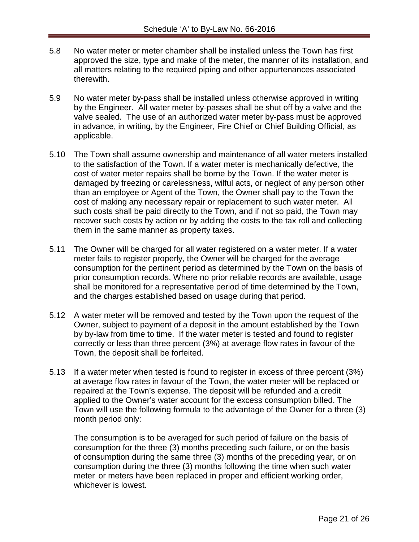- 5.8 No water meter or meter chamber shall be installed unless the Town has first approved the size, type and make of the meter, the manner of its installation, and all matters relating to the required piping and other appurtenances associated therewith.
- 5.9 No water meter by-pass shall be installed unless otherwise approved in writing by the Engineer. All water meter by-passes shall be shut off by a valve and the valve sealed. The use of an authorized water meter by-pass must be approved in advance, in writing, by the Engineer, Fire Chief or Chief Building Official, as applicable.
- 5.10 The Town shall assume ownership and maintenance of all water meters installed to the satisfaction of the Town. If a water meter is mechanically defective, the cost of water meter repairs shall be borne by the Town. If the water meter is damaged by freezing or carelessness, wilful acts, or neglect of any person other than an employee or Agent of the Town, the Owner shall pay to the Town the cost of making any necessary repair or replacement to such water meter. All such costs shall be paid directly to the Town, and if not so paid, the Town may recover such costs by action or by adding the costs to the tax roll and collecting them in the same manner as property taxes.
- 5.11 The Owner will be charged for all water registered on a water meter. If a water meter fails to register properly, the Owner will be charged for the average consumption for the pertinent period as determined by the Town on the basis of prior consumption records. Where no prior reliable records are available, usage shall be monitored for a representative period of time determined by the Town, and the charges established based on usage during that period.
- 5.12 A water meter will be removed and tested by the Town upon the request of the Owner, subject to payment of a deposit in the amount established by the Town by by-law from time to time. If the water meter is tested and found to register correctly or less than three percent (3%) at average flow rates in favour of the Town, the deposit shall be forfeited.
- 5.13 If a water meter when tested is found to register in excess of three percent (3%) at average flow rates in favour of the Town, the water meter will be replaced or repaired at the Town's expense. The deposit will be refunded and a credit applied to the Owner's water account for the excess consumption billed. The Town will use the following formula to the advantage of the Owner for a three (3) month period only:

The consumption is to be averaged for such period of failure on the basis of consumption for the three (3) months preceding such failure, or on the basis of consumption during the same three (3) months of the preceding year, or on consumption during the three (3) months following the time when such water meter or meters have been replaced in proper and efficient working order, whichever is lowest.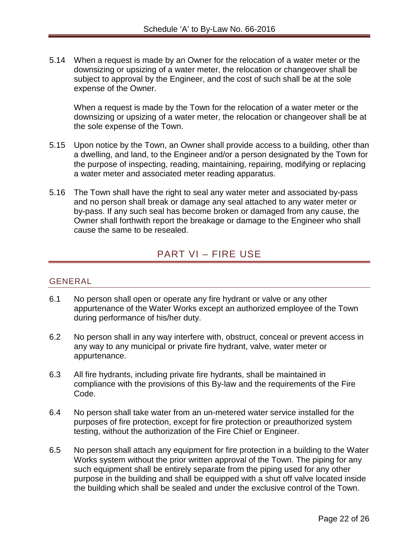5.14 When a request is made by an Owner for the relocation of a water meter or the downsizing or upsizing of a water meter, the relocation or changeover shall be subject to approval by the Engineer, and the cost of such shall be at the sole expense of the Owner.

When a request is made by the Town for the relocation of a water meter or the downsizing or upsizing of a water meter, the relocation or changeover shall be at the sole expense of the Town.

- 5.15 Upon notice by the Town, an Owner shall provide access to a building, other than a dwelling, and land, to the Engineer and/or a person designated by the Town for the purpose of inspecting, reading, maintaining, repairing, modifying or replacing a water meter and associated meter reading apparatus.
- 5.16 The Town shall have the right to seal any water meter and associated by-pass and no person shall break or damage any seal attached to any water meter or by-pass. If any such seal has become broken or damaged from any cause, the Owner shall forthwith report the breakage or damage to the Engineer who shall cause the same to be resealed.

# PART VI – FIRE USE

#### <span id="page-22-1"></span><span id="page-22-0"></span>GENERAL

- 6.1 No person shall open or operate any fire hydrant or valve or any other appurtenance of the Water Works except an authorized employee of the Town during performance of his/her duty.
- 6.2 No person shall in any way interfere with, obstruct, conceal or prevent access in any way to any municipal or private fire hydrant, valve, water meter or appurtenance.
- 6.3 All fire hydrants, including private fire hydrants, shall be maintained in compliance with the provisions of this By-law and the requirements of the Fire Code.
- 6.4 No person shall take water from an un-metered water service installed for the purposes of fire protection, except for fire protection or preauthorized system testing, without the authorization of the Fire Chief or Engineer.
- 6.5 No person shall attach any equipment for fire protection in a building to the Water Works system without the prior written approval of the Town. The piping for any such equipment shall be entirely separate from the piping used for any other purpose in the building and shall be equipped with a shut off valve located inside the building which shall be sealed and under the exclusive control of the Town.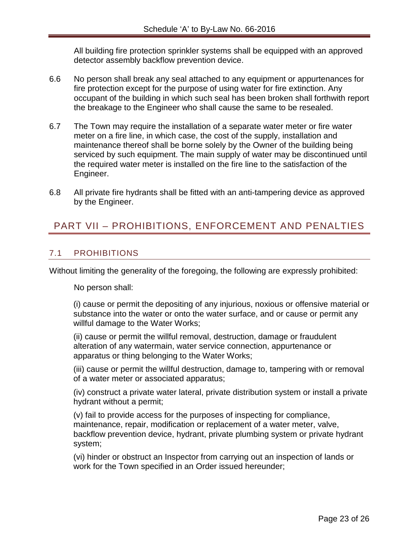All building fire protection sprinkler systems shall be equipped with an approved detector assembly backflow prevention device.

- 6.6 No person shall break any seal attached to any equipment or appurtenances for fire protection except for the purpose of using water for fire extinction. Any occupant of the building in which such seal has been broken shall forthwith report the breakage to the Engineer who shall cause the same to be resealed.
- 6.7 The Town may require the installation of a separate water meter or fire water meter on a fire line, in which case, the cost of the supply, installation and maintenance thereof shall be borne solely by the Owner of the building being serviced by such equipment. The main supply of water may be discontinued until the required water meter is installed on the fire line to the satisfaction of the Engineer.
- 6.8 All private fire hydrants shall be fitted with an anti-tampering device as approved by the Engineer.

# <span id="page-23-0"></span>PART VII – PROHIBITIONS, ENFORCEMENT AND PENALTIES

### <span id="page-23-1"></span>7.1 PROHIBITIONS

Without limiting the generality of the foregoing, the following are expressly prohibited:

No person shall:

(i) cause or permit the depositing of any injurious, noxious or offensive material or substance into the water or onto the water surface, and or cause or permit any willful damage to the Water Works;

(ii) cause or permit the willful removal, destruction, damage or fraudulent alteration of any watermain, water service connection, appurtenance or apparatus or thing belonging to the Water Works;

(iii) cause or permit the willful destruction, damage to, tampering with or removal of a water meter or associated apparatus;

(iv) construct a private water lateral, private distribution system or install a private hydrant without a permit;

(v) fail to provide access for the purposes of inspecting for compliance, maintenance, repair, modification or replacement of a water meter, valve, backflow prevention device, hydrant, private plumbing system or private hydrant system;

(vi) hinder or obstruct an Inspector from carrying out an inspection of lands or work for the Town specified in an Order issued hereunder;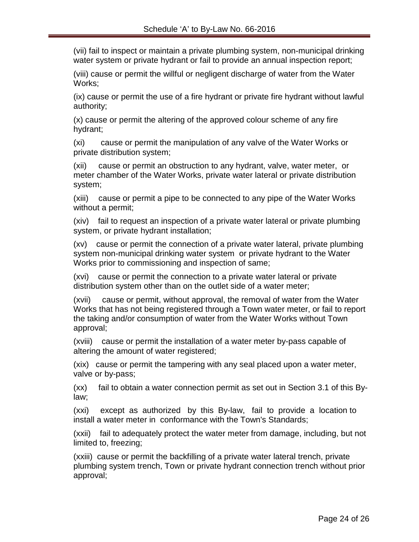(vii) fail to inspect or maintain a private plumbing system, non-municipal drinking water system or private hydrant or fail to provide an annual inspection report;

(viii) cause or permit the willful or negligent discharge of water from the Water Works;

(ix) cause or permit the use of a fire hydrant or private fire hydrant without lawful authority;

(x) cause or permit the altering of the approved colour scheme of any fire hydrant;

(xi) cause or permit the manipulation of any valve of the Water Works or private distribution system;

(xii) cause or permit an obstruction to any hydrant, valve, water meter, or meter chamber of the Water Works, private water lateral or private distribution system;

(xiii) cause or permit a pipe to be connected to any pipe of the Water Works without a permit;

(xiv) fail to request an inspection of a private water lateral or private plumbing system, or private hydrant installation;

(xv) cause or permit the connection of a private water lateral, private plumbing system non-municipal drinking water system or private hydrant to the Water Works prior to commissioning and inspection of same;

(xvi) cause or permit the connection to a private water lateral or private distribution system other than on the outlet side of a water meter;

(xvii) cause or permit, without approval, the removal of water from the Water Works that has not being registered through a Town water meter, or fail to report the taking and/or consumption of water from the Water Works without Town approval;

(xviii) cause or permit the installation of a water meter by-pass capable of altering the amount of water registered;

(xix) cause or permit the tampering with any seal placed upon a water meter, valve or by-pass;

(xx) fail to obtain a water connection permit as set out in Section 3.1 of this Bylaw;

(xxi) except as authorized by this By-law, fail to provide a location to install a water meter in conformance with the Town's Standards;

(xxii) fail to adequately protect the water meter from damage, including, but not limited to, freezing;

(xxiii) cause or permit the backfilling of a private water lateral trench, private plumbing system trench, Town or private hydrant connection trench without prior approval;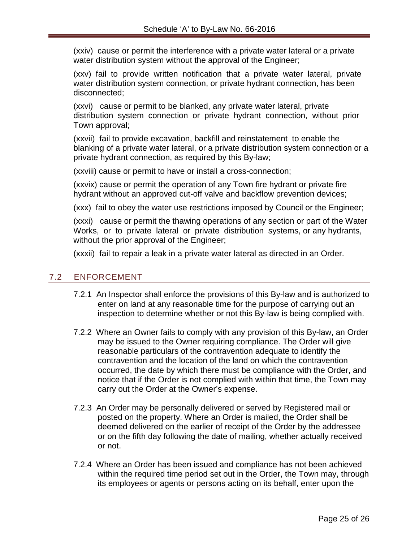(xxiv) cause or permit the interference with a private water lateral or a private water distribution system without the approval of the Engineer;

(xxv) fail to provide written notification that a private water lateral, private water distribution system connection, or private hydrant connection, has been disconnected;

(xxvi) cause or permit to be blanked, any private water lateral, private distribution system connection or private hydrant connection, without prior Town approval;

(xxvii) fail to provide excavation, backfill and reinstatement to enable the blanking of a private water lateral, or a private distribution system connection or a private hydrant connection, as required by this By-law;

(xxviii) cause or permit to have or install a cross-connection;

(xxvix) cause or permit the operation of any Town fire hydrant or private fire hydrant without an approved cut-off valve and backflow prevention devices;

(xxx) fail to obey the water use restrictions imposed by Council or the Engineer;

(xxxi) cause or permit the thawing operations of any section or part of the Water Works, or to private lateral or private distribution systems, or any hydrants, without the prior approval of the Engineer;

(xxxii) fail to repair a leak in a private water lateral as directed in an Order.

### <span id="page-25-0"></span>7.2 ENFORCEMENT

- 7.2.1 An Inspector shall enforce the provisions of this By-law and is authorized to enter on land at any reasonable time for the purpose of carrying out an inspection to determine whether or not this By-law is being complied with.
- 7.2.2 Where an Owner fails to comply with any provision of this By-law, an Order may be issued to the Owner requiring compliance. The Order will give reasonable particulars of the contravention adequate to identify the contravention and the location of the land on which the contravention occurred, the date by which there must be compliance with the Order, and notice that if the Order is not complied with within that time, the Town may carry out the Order at the Owner's expense.
- 7.2.3 An Order may be personally delivered or served by Registered mail or posted on the property. Where an Order is mailed, the Order shall be deemed delivered on the earlier of receipt of the Order by the addressee or on the fifth day following the date of mailing, whether actually received or not.
- 7.2.4 Where an Order has been issued and compliance has not been achieved within the required time period set out in the Order, the Town may, through its employees or agents or persons acting on its behalf, enter upon the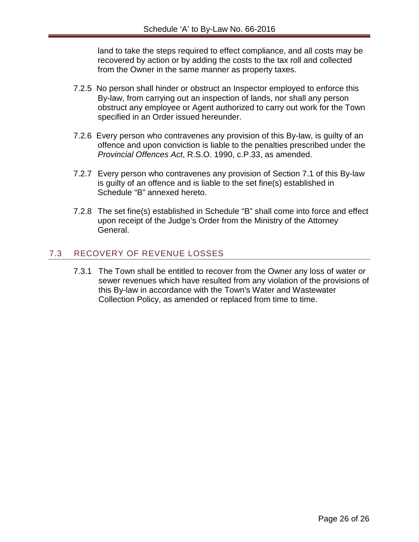land to take the steps required to effect compliance, and all costs may be recovered by action or by adding the costs to the tax roll and collected from the Owner in the same manner as property taxes.

- 7.2.5 No person shall hinder or obstruct an Inspector employed to enforce this By-law, from carrying out an inspection of lands, nor shall any person obstruct any employee or Agent authorized to carry out work for the Town specified in an Order issued hereunder.
- 7.2.6 Every person who contravenes any provision of this By-law, is guilty of an offence and upon conviction is liable to the penalties prescribed under the *Provincial Offences Act*, R.S.O. 1990, c.P.33, as amended.
- 7.2.7 Every person who contravenes any provision of Section 7.1 of this By-law is guilty of an offence and is liable to the set fine(s) established in Schedule "B" annexed hereto.
- 7.2.8 The set fine(s) established in Schedule "B" shall come into force and effect upon receipt of the Judge's Order from the Ministry of the Attorney General.

# <span id="page-26-0"></span>7.3 RECOVERY OF REVENUE LOSSES

7.3.1 The Town shall be entitled to recover from the Owner any loss of water or sewer revenues which have resulted from any violation of the provisions of this By-law in accordance with the Town's Water and Wastewater Collection Policy, as amended or replaced from time to time.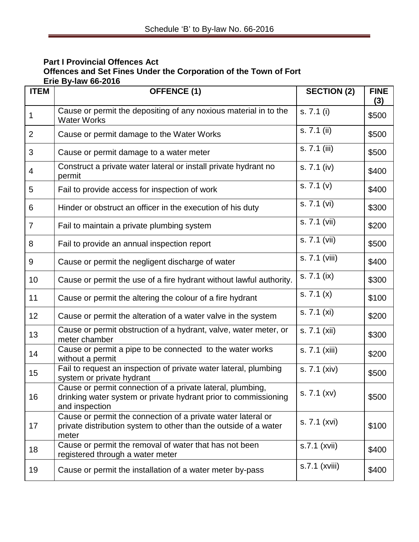#### **Part I Provincial Offences Act Offences and Set Fines Under the Corporation of the Town of Fort Erie By-law 66-2016**

| <b>ITEM</b>    | <b>OFFENCE (1)</b>                                                                                                                              | <b>SECTION (2)</b>        | <b>FINE</b><br>(3) |
|----------------|-------------------------------------------------------------------------------------------------------------------------------------------------|---------------------------|--------------------|
| 1              | Cause or permit the depositing of any noxious material in to the<br><b>Water Works</b>                                                          | s. 7.1 (i)                | \$500              |
| $\overline{2}$ | Cause or permit damage to the Water Works                                                                                                       | $\overline{s}$ . 7.1 (ii) | \$500              |
| 3              | Cause or permit damage to a water meter                                                                                                         | s. 7.1 (iii)              | \$500              |
| 4              | Construct a private water lateral or install private hydrant no<br>permit                                                                       | s. 7.1 (iv)               | \$400              |
| 5              | Fail to provide access for inspection of work                                                                                                   | s. 7.1 (v)                | \$400              |
| 6              | Hinder or obstruct an officer in the execution of his duty                                                                                      | s. 7.1 (vi)               | \$300              |
| $\overline{7}$ | Fail to maintain a private plumbing system                                                                                                      | s. 7.1 (vii)              | \$200              |
| 8              | Fail to provide an annual inspection report                                                                                                     | s. 7.1 (vii)              | \$500              |
| 9              | Cause or permit the negligent discharge of water                                                                                                | s. 7.1 (viii)             | \$400              |
| 10             | Cause or permit the use of a fire hydrant without lawful authority.                                                                             | $\overline{s}$ . 7.1 (ix) | \$300              |
| 11             | Cause or permit the altering the colour of a fire hydrant                                                                                       | $\overline{s}$ . 7.1 (x)  | \$100              |
| 12             | Cause or permit the alteration of a water valve in the system                                                                                   | s. 7.1 (xi)               | \$200              |
| 13             | Cause or permit obstruction of a hydrant, valve, water meter, or<br>meter chamber                                                               | s. 7.1 (xii)              | \$300              |
| 14             | Cause or permit a pipe to be connected to the water works<br>without a permit                                                                   | s. 7.1 (xiii)             | \$200              |
| 15             | Fail to request an inspection of private water lateral, plumbing<br>system or private hydrant                                                   | s. 7.1 (xiv)              | \$500              |
| 16             | Cause or permit connection of a private lateral, plumbing,<br>drinking water system or private hydrant prior to commissioning<br>and inspection | s. 7.1 (xv)               | \$500              |
| 17             | Cause or permit the connection of a private water lateral or<br>private distribution system to other than the outside of a water<br>meter       | s. 7.1 (xvi)              | \$100              |
| 18             | Cause or permit the removal of water that has not been<br>registered through a water meter                                                      | s.7.1 (xvii)              | \$400              |
| 19             | Cause or permit the installation of a water meter by-pass                                                                                       | s.7.1 (xviii)             | \$400              |